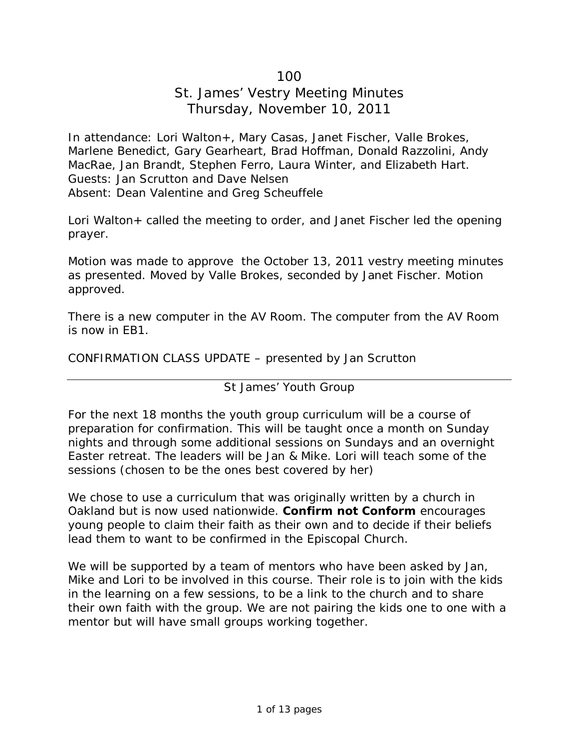# 100

# St. James' Vestry Meeting Minutes Thursday, November 10, 2011

In attendance: Lori Walton+, Mary Casas, Janet Fischer, Valle Brokes, Marlene Benedict, Gary Gearheart, Brad Hoffman, Donald Razzolini, Andy MacRae, Jan Brandt, Stephen Ferro, Laura Winter, and Elizabeth Hart. Guests: Jan Scrutton and Dave Nelsen Absent: Dean Valentine and Greg Scheuffele

Lori Walton + called the meeting to order, and Janet Fischer led the opening prayer.

Motion was made to approve the October 13, 2011 vestry meeting minutes as presented. Moved by Valle Brokes, seconded by Janet Fischer. Motion approved.

There is a new computer in the AV Room. The computer from the AV Room is now in EB1.

CONFIRMATION CLASS UPDATE – presented by Jan Scrutton

### St James' Youth Group

For the next 18 months the youth group curriculum will be a course of preparation for confirmation. This will be taught once a month on Sunday nights and through some additional sessions on Sundays and an overnight Easter retreat. The leaders will be Jan & Mike. Lori will teach some of the sessions (chosen to be the ones best covered by her)

We chose to use a curriculum that was originally written by a church in Oakland but is now used nationwide. **Confirm not Conform** encourages young people to claim their faith as their own and to decide if their beliefs lead them to want to be confirmed in the Episcopal Church.

We will be supported by a team of mentors who have been asked by Jan, Mike and Lori to be involved in this course. Their role is to join with the kids in the learning on a few sessions, to be a link to the church and to share their own faith with the group. We are not pairing the kids one to one with a mentor but will have small groups working together.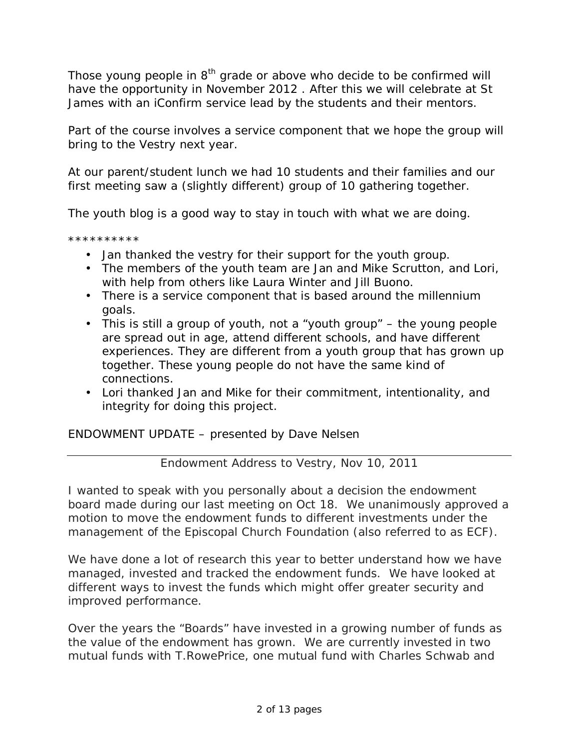Those young people in  $8<sup>th</sup>$  grade or above who decide to be confirmed will have the opportunity in November 2012 . After this we will celebrate at St James with an iConfirm service lead by the students and their mentors.

Part of the course involves a service component that we hope the group will bring to the Vestry next year.

At our parent/student lunch we had 10 students and their families and our first meeting saw a (slightly different) group of 10 gathering together.

The youth blog is a good way to stay in touch with what we are doing.

\*\*\*\*\*\*\*\*\*\*

- Jan thanked the vestry for their support for the youth group.
- The members of the youth team are Jan and Mike Scrutton, and Lori, with help from others like Laura Winter and Jill Buono.
- There is a service component that is based around the millennium goals.
- This is still a group of youth, not a "youth group" the young people are spread out in age, attend different schools, and have different experiences. They are different from a youth group that has grown up together. These young people do not have the same kind of connections.
- Lori thanked Jan and Mike for their commitment, intentionality, and integrity for doing this project.

ENDOWMENT UPDATE – presented by Dave Nelsen

Endowment Address to Vestry, Nov 10, 2011

I wanted to speak with you personally about a decision the endowment board made during our last meeting on Oct 18. We unanimously approved a motion to move the endowment funds to different investments under the management of the Episcopal Church Foundation (also referred to as ECF).

We have done a lot of research this year to better understand how we have managed, invested and tracked the endowment funds. We have looked at different ways to invest the funds which might offer greater security and improved performance.

Over the years the "Boards" have invested in a growing number of funds as the value of the endowment has grown. We are currently invested in two mutual funds with T.RowePrice, one mutual fund with Charles Schwab and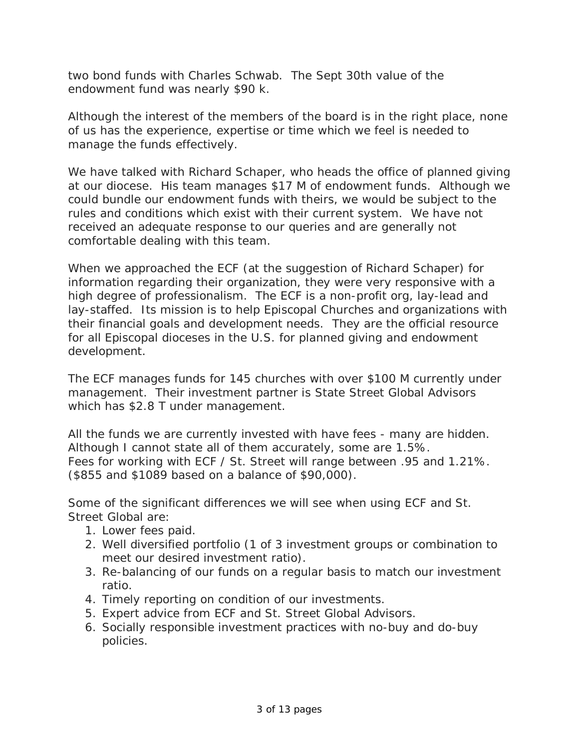two bond funds with Charles Schwab. The Sept 30th value of the endowment fund was nearly \$90 k.

Although the interest of the members of the board is in the right place, none of us has the experience, expertise or time which we feel is needed to manage the funds effectively.

We have talked with Richard Schaper, who heads the office of planned giving at our diocese. His team manages \$17 M of endowment funds. Although we could bundle our endowment funds with theirs, we would be subject to the rules and conditions which exist with their current system. We have not received an adequate response to our queries and are generally not comfortable dealing with this team.

When we approached the ECF (at the suggestion of Richard Schaper) for information regarding their organization, they were very responsive with a high degree of professionalism. The ECF is a non-profit org, lay-lead and lay-staffed. Its mission is to help Episcopal Churches and organizations with their financial goals and development needs. They are the official resource for all Episcopal dioceses in the U.S. for planned giving and endowment development.

The ECF manages funds for 145 churches with over \$100 M currently under management. Their investment partner is State Street Global Advisors which has \$2.8 T under management.

All the funds we are currently invested with have fees - many are hidden. Although I cannot state all of them accurately, some are 1.5%. Fees for working with ECF / St. Street will range between .95 and 1.21%. (\$855 and \$1089 based on a balance of \$90,000).

Some of the significant differences we will see when using ECF and St. Street Global are:

- 1. Lower fees paid.
- 2. Well diversified portfolio (1 of 3 investment groups or combination to meet our desired investment ratio).
- 3. Re-balancing of our funds on a regular basis to match our investment ratio.
- 4. Timely reporting on condition of our investments.
- 5. Expert advice from ECF and St. Street Global Advisors.
- 6. Socially responsible investment practices with no-buy and do-buy policies.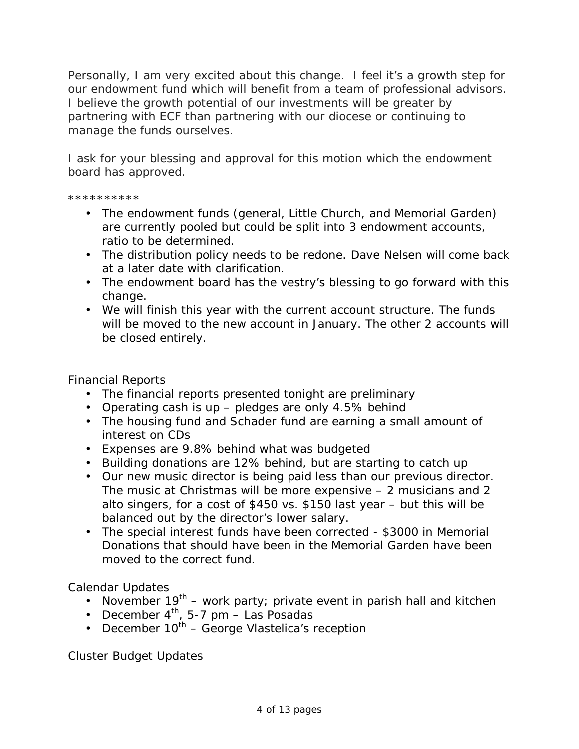Personally, I am very excited about this change. I feel it's a growth step for our endowment fund which will benefit from a team of professional advisors. I believe the growth potential of our investments will be greater by partnering with ECF than partnering with our diocese or continuing to manage the funds ourselves.

I ask for your blessing and approval for this motion which the endowment board has approved.

\*\*\*\*\*\*\*\*\*\*

- The endowment funds (general, Little Church, and Memorial Garden) are currently pooled but could be split into 3 endowment accounts, ratio to be determined.
- The distribution policy needs to be redone. Dave Nelsen will come back at a later date with clarification.
- The endowment board has the vestry's blessing to go forward with this change.
- We will finish this year with the current account structure. The funds will be moved to the new account in January. The other 2 accounts will be closed entirely.

Financial Reports

- The financial reports presented tonight are preliminary
- Operating cash is up pledges are only 4.5% behind
- The housing fund and Schader fund are earning a small amount of interest on CDs
- Expenses are 9.8% behind what was budgeted
- Building donations are 12% behind, but are starting to catch up
- Our new music director is being paid less than our previous director. The music at Christmas will be more expensive – 2 musicians and 2 alto singers, for a cost of \$450 vs. \$150 last year – but this will be balanced out by the director's lower salary.
- The special interest funds have been corrected \$3000 in Memorial Donations that should have been in the Memorial Garden have been moved to the correct fund.

Calendar Updates

- November  $19^{th}$  work party; private event in parish hall and kitchen
- December  $4^{\text{th}}$ , 5-7 pm Las Posadas
- December  $10^{th}$  George Vlastelica's reception

Cluster Budget Updates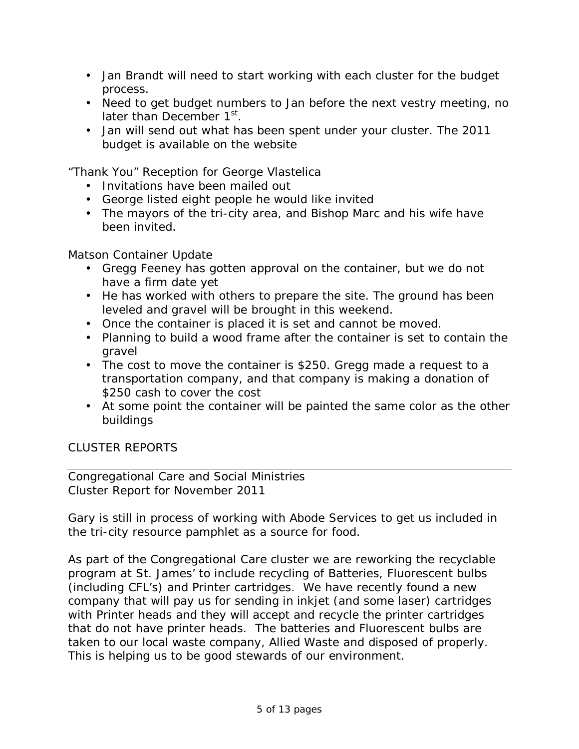- Jan Brandt will need to start working with each cluster for the budget process.
- Need to get budget numbers to Jan before the next vestry meeting, no later than December 1<sup>st</sup>.
- Jan will send out what has been spent under your cluster. The 2011 budget is available on the website

"Thank You" Reception for George Vlastelica

- Invitations have been mailed out
- George listed eight people he would like invited
- The mayors of the tri-city area, and Bishop Marc and his wife have been invited.

Matson Container Update

- Gregg Feeney has gotten approval on the container, but we do not have a firm date yet
- He has worked with others to prepare the site. The ground has been leveled and gravel will be brought in this weekend.
- Once the container is placed it is set and cannot be moved.
- Planning to build a wood frame after the container is set to contain the aravel
- The cost to move the container is \$250. Gregg made a request to a transportation company, and that company is making a donation of \$250 cash to cover the cost
- At some point the container will be painted the same color as the other buildings

CLUSTER REPORTS

Congregational Care and Social Ministries Cluster Report for November 2011

Gary is still in process of working with Abode Services to get us included in the tri-city resource pamphlet as a source for food.

As part of the Congregational Care cluster we are reworking the recyclable program at St. James' to include recycling of Batteries, Fluorescent bulbs (including CFL's) and Printer cartridges. We have recently found a new company that will pay us for sending in inkjet (and some laser) cartridges with Printer heads and they will accept and recycle the printer cartridges that do not have printer heads. The batteries and Fluorescent bulbs are taken to our local waste company, Allied Waste and disposed of properly. This is helping us to be good stewards of our environment.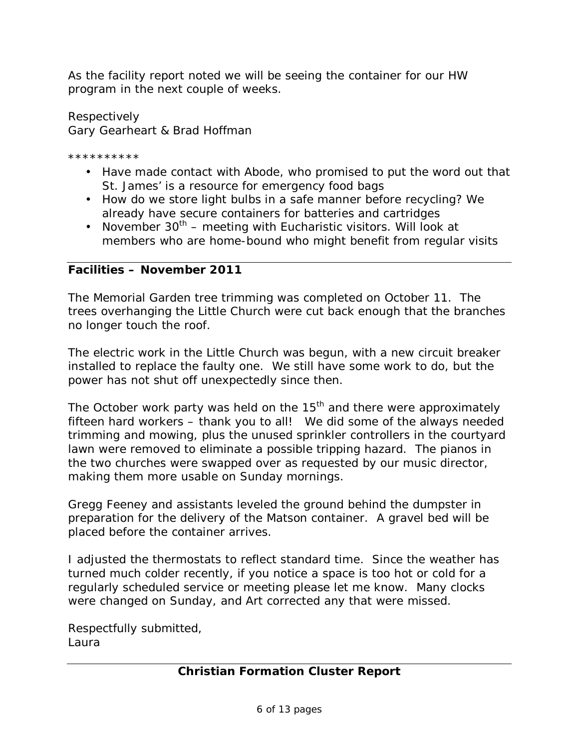As the facility report noted we will be seeing the container for our HW program in the next couple of weeks.

Respectively Gary Gearheart & Brad Hoffman

\*\*\*\*\*\*\*\*\*\*

- Have made contact with Abode, who promised to put the word out that St. James' is a resource for emergency food bags
- How do we store light bulbs in a safe manner before recycling? We already have secure containers for batteries and cartridges
- November  $30^{th}$  meeting with Eucharistic visitors. Will look at members who are home-bound who might benefit from regular visits

**Facilities – November 2011** 

The Memorial Garden tree trimming was completed on October 11. The trees overhanging the Little Church were cut back enough that the branches no longer touch the roof.

The electric work in the Little Church was begun, with a new circuit breaker installed to replace the faulty one. We still have some work to do, but the power has not shut off unexpectedly since then.

The October work party was held on the  $15<sup>th</sup>$  and there were approximately fifteen hard workers – thank you to all! We did some of the always needed trimming and mowing, plus the unused sprinkler controllers in the courtyard lawn were removed to eliminate a possible tripping hazard. The pianos in the two churches were swapped over as requested by our music director, making them more usable on Sunday mornings.

Gregg Feeney and assistants leveled the ground behind the dumpster in preparation for the delivery of the Matson container. A gravel bed will be placed before the container arrives.

I adjusted the thermostats to reflect standard time. Since the weather has turned much colder recently, if you notice a space is too hot or cold for a regularly scheduled service or meeting please let me know. Many clocks were changed on Sunday, and Art corrected any that were missed.

Respectfully submitted, Laura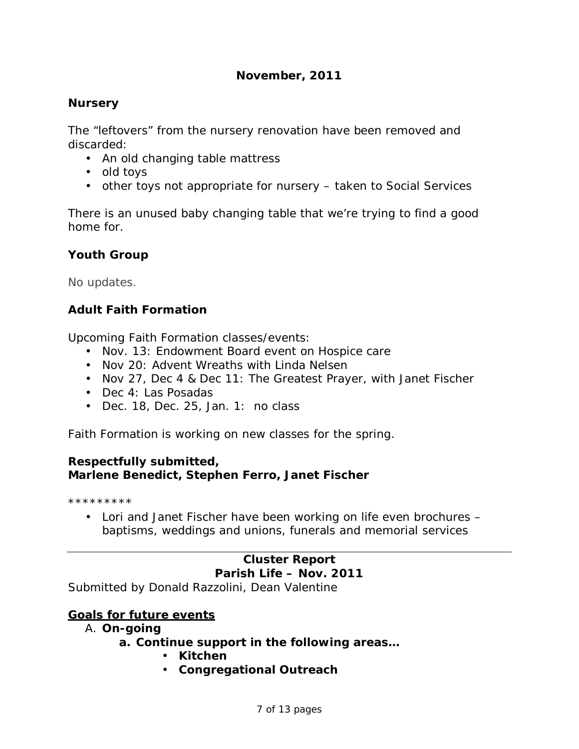# **November, 2011**

# **Nursery**

The "leftovers" from the nursery renovation have been removed and discarded:

- An old changing table mattress
- old toys
- other toys not appropriate for nursery taken to Social Services

There is an unused baby changing table that we're trying to find a good home for.

# **Youth Group**

No updates.

# **Adult Faith Formation**

Upcoming Faith Formation classes/events:

- Nov. 13: Endowment Board event on Hospice care
- Nov 20: Advent Wreaths with Linda Nelsen
- Nov 27, Dec 4 & Dec 11: The Greatest Prayer, with Janet Fischer
- Dec 4: Las Posadas
- Dec. 18, Dec. 25, Jan. 1: no class

Faith Formation is working on new classes for the spring.

#### **Respectfully submitted,**

**Marlene Benedict, Stephen Ferro, Janet Fischer** 

\*\*\*\*\*\*\*\*\*

• Lori and Janet Fischer have been working on life even brochures – baptisms, weddings and unions, funerals and memorial services

# **Cluster Report Parish Life – Nov. 2011**  Submitted by Donald Razzolini, Dean Valentine

### **Goals for future events**

### A. **On-going**

- **a. Continue support in the following areas…** 
	- **Kitchen**
	- **Congregational Outreach**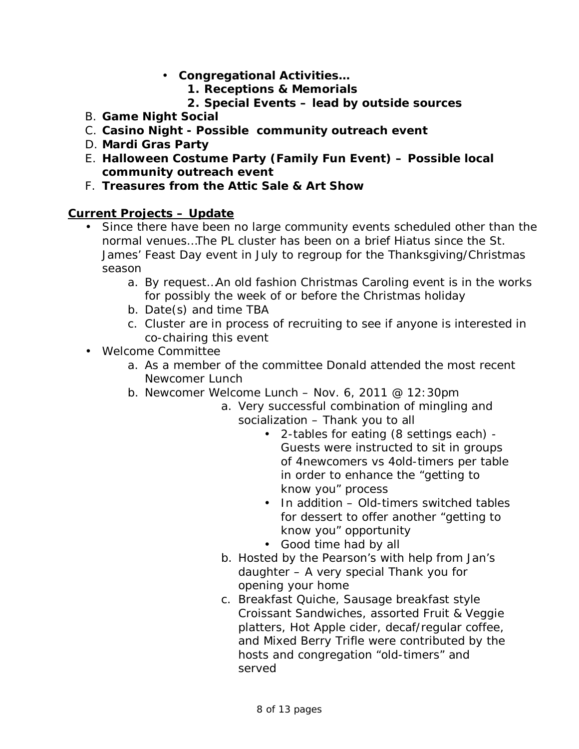- **Congregational Activities…** 
	- **1. Receptions & Memorials**
	- **2. Special Events lead by outside sources**
- B. **Game Night Social**
- C. **Casino Night - Possible community outreach event**
- D. **Mardi Gras Party**
- E. **Halloween Costume Party (Family Fun Event) – Possible local community outreach event**
- F. **Treasures from the Attic Sale & Art Show**

### **Current Projects – Update**

- Since there have been no large community events scheduled other than the normal venues…The PL cluster has been on a brief Hiatus since the St. James' Feast Day event in July to regroup for the Thanksgiving/Christmas season
	- a. By request…An old fashion Christmas Caroling event is in the works for possibly the week of or before the Christmas holiday
	- b. Date(s) and time TBA
	- c. Cluster are in process of recruiting to see if anyone is interested in co-chairing this event
- Welcome Committee
	- a. As a member of the committee Donald attended the most recent Newcomer Lunch
	- b. Newcomer Welcome Lunch Nov. 6, 2011 @ 12:30pm
		- a. Very successful combination of mingling and socialization – Thank you to all
			- 2-tables for eating (8 settings each) Guests were instructed to sit in groups of 4newcomers vs 4old-timers per table in order to enhance the "getting to know you" process
			- In addition Old-timers switched tables for dessert to offer another "getting to know you" opportunity
			- Good time had by all
		- b. Hosted by the Pearson's with help from Jan's daughter – A very special Thank you for opening your home
		- c. Breakfast Quiche, Sausage breakfast style Croissant Sandwiches, assorted Fruit & Veggie platters, Hot Apple cider, decaf/regular coffee, and Mixed Berry Trifle were contributed by the hosts and congregation "old-timers" and served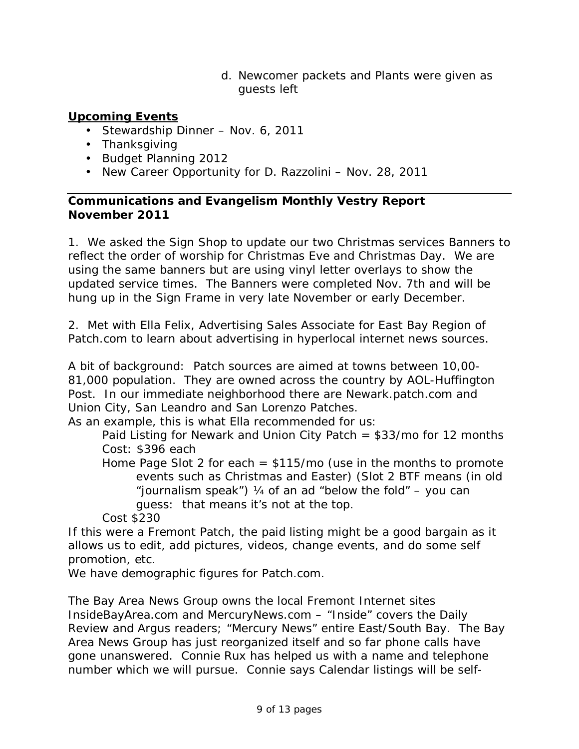d. Newcomer packets and Plants were given as guests left

# **Upcoming Events**

- Stewardship Dinner Nov. 6, 2011
- Thanksgiving
- Budget Planning 2012
- New Career Opportunity for D. Razzolini Nov. 28, 2011

**Communications and Evangelism Monthly Vestry Report November 2011**

1. We asked the Sign Shop to update our two Christmas services Banners to reflect the order of worship for Christmas Eve and Christmas Day. We are using the same banners but are using vinyl letter overlays to show the updated service times. The Banners were completed Nov. 7th and will be hung up in the Sign Frame in very late November or early December.

2. Met with Ella Felix, Advertising Sales Associate for East Bay Region of Patch.com to learn about advertising in hyperlocal internet news sources.

A bit of background: Patch sources are aimed at towns between 10,00- 81,000 population. They are owned across the country by AOL-Huffington Post. In our immediate neighborhood there are Newark.patch.com and Union City, San Leandro and San Lorenzo Patches.

As an example, this is what Ella recommended for us:

Paid Listing for Newark and Union City Patch  $= $33$ /mo for 12 months Cost: \$396 each

Home Page Slot 2 for each  $=$  \$115/mo (use in the months to promote events such as Christmas and Easter) (Slot 2 BTF means (in old "journalism speak") ¼ of an ad "below the fold" – you can guess: that means it's not at the top.

Cost \$230

If this were a Fremont Patch, the paid listing might be a good bargain as it allows us to edit, add pictures, videos, change events, and do some self promotion, etc.

We have demographic figures for Patch.com.

*The Bay Area News Group* owns the local Fremont Internet sites *InsideBayArea.com* and *MercuryNews.com* – "Inside" covers the *Daily Review* and *Argus* readers; "Mercury News" entire East/South Bay. *The Bay Area News Group* has just reorganized itself and so far phone calls have gone unanswered. Connie Rux has helped us with a name and telephone number which we will pursue. Connie says Calendar listings will be self-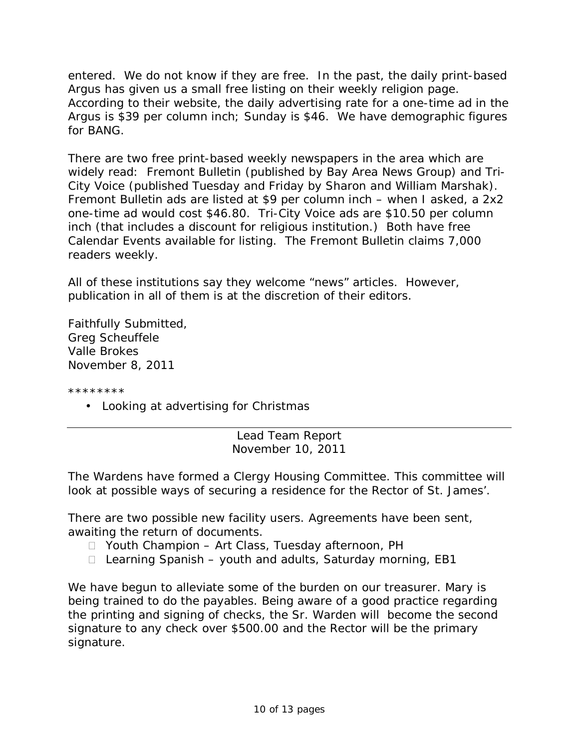entered. We do not know if they are free. In the past, the daily print-based *Argus* has given us a small free listing on their weekly religion page. According to their website, the daily advertising rate for a one-time ad in the *Argus* is \$39 per column inch; Sunday is \$46. We have demographic figures for BANG.

There are two free print-based weekly newspapers in the area which are widely read: Fremont *Bulletin* (published by *Bay Area News Group*) and *Tri-City Voice* (published Tuesday and Friday by Sharon and William Marshak)*.* Fremont *Bulletin* ads are listed at \$9 per column inch – when I asked, a 2x2 one-time ad would cost \$46.80. *Tri-City Voice* ads are \$10.50 per column inch (that includes a discount for religious institution.) Both have free Calendar Events available for listing. The Fremont *Bulletin* claims 7,000 readers weekly.

All of these institutions say they welcome "news" articles. However, publication in all of them is at the discretion of their editors.

Faithfully Submitted, Greg Scheuffele Valle Brokes November 8, 2011

\*\*\*\*\*\*\*\*

• Looking at advertising for Christmas

Lead Team Report November 10, 2011

The Wardens have formed a Clergy Housing Committee. This committee will look at possible ways of securing a residence for the Rector of St. James'.

There are two possible new facility users. Agreements have been sent, awaiting the return of documents.

- □ Youth Champion Art Class, Tuesday afternoon, PH
- $\Box$  Learning Spanish youth and adults, Saturday morning, EB1

We have begun to alleviate some of the burden on our treasurer. Mary is being trained to do the payables. Being aware of a good practice regarding the printing and signing of checks, the Sr. Warden will become the second signature to any check over \$500.00 and the Rector will be the primary signature.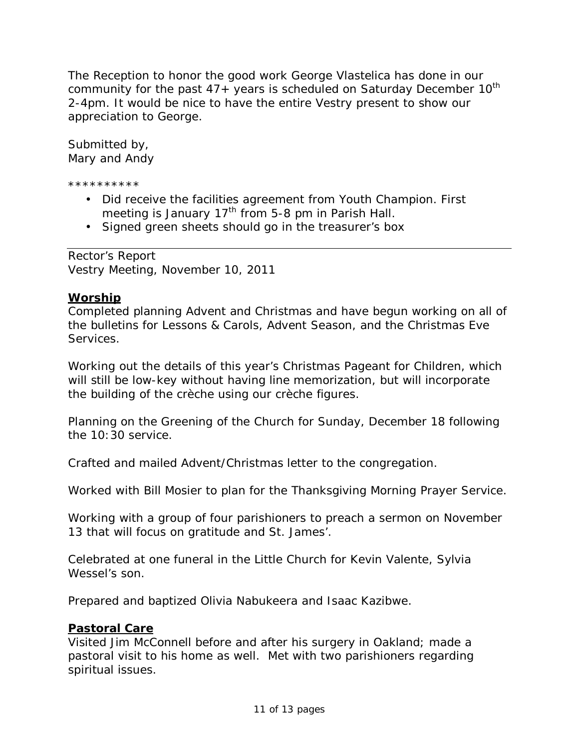The Reception to honor the good work George Vlastelica has done in our community for the past  $47+$  years is scheduled on Saturday December  $10^{th}$ 2-4pm. It would be nice to have the entire Vestry present to show our appreciation to George.

Submitted by, Mary and Andy

\*\*\*\*\*\*\*\*\*\*

- Did receive the facilities agreement from Youth Champion. First meeting is January  $17<sup>th</sup>$  from 5-8 pm in Parish Hall.
- Signed green sheets should go in the treasurer's box

Rector's Report Vestry Meeting, November 10, 2011

### **Worship**

Completed planning Advent and Christmas and have begun working on all of the bulletins for Lessons & Carols, Advent Season, and the Christmas Eve Services.

Working out the details of this year's Christmas Pageant for Children, which will still be low-key without having line memorization, but will incorporate the building of the crèche using our crèche figures.

Planning on the Greening of the Church for Sunday, December 18 following the 10:30 service.

Crafted and mailed Advent/Christmas letter to the congregation.

Worked with Bill Mosier to plan for the Thanksgiving Morning Prayer Service.

Working with a group of four parishioners to preach a sermon on November 13 that will focus on gratitude and St. James'.

Celebrated at one funeral in the Little Church for Kevin Valente, Sylvia Wessel's son.

Prepared and baptized Olivia Nabukeera and Isaac Kazibwe.

### **Pastoral Care**

Visited Jim McConnell before and after his surgery in Oakland; made a pastoral visit to his home as well. Met with two parishioners regarding spiritual issues.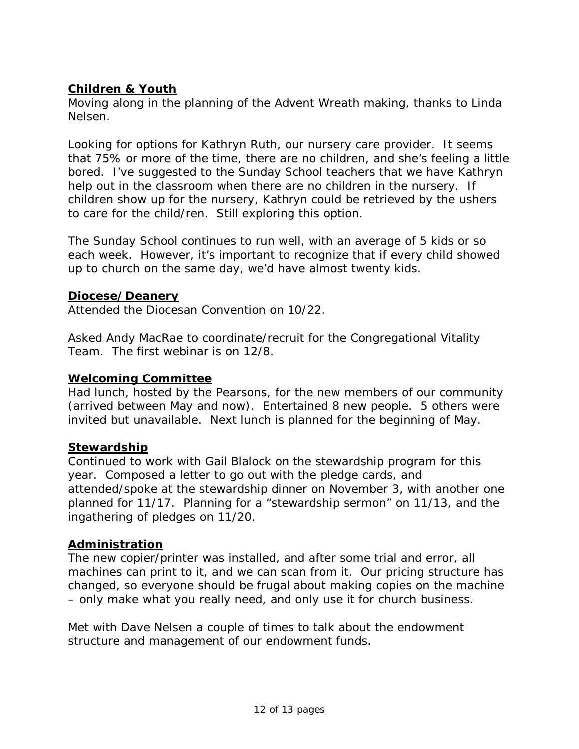# **Children & Youth**

Moving along in the planning of the Advent Wreath making, thanks to Linda Nelsen.

Looking for options for Kathryn Ruth, our nursery care provider. It seems that 75% or more of the time, there are no children, and she's feeling a little bored. I've suggested to the Sunday School teachers that we have Kathryn help out in the classroom when there are no children in the nursery. If children show up for the nursery, Kathryn could be retrieved by the ushers to care for the child/ren. Still exploring this option.

The Sunday School continues to run well, with an average of 5 kids or so each week. However, it's important to recognize that if every child showed up to church on the same day, we'd have almost twenty kids.

### **Diocese/Deanery**

Attended the Diocesan Convention on 10/22.

Asked Andy MacRae to coordinate/recruit for the Congregational Vitality Team. The first webinar is on 12/8.

### **Welcoming Committee**

Had lunch, hosted by the Pearsons, for the new members of our community (arrived between May and now). Entertained 8 new people. 5 others were invited but unavailable. Next lunch is planned for the beginning of May.

#### **Stewardship**

Continued to work with Gail Blalock on the stewardship program for this year. Composed a letter to go out with the pledge cards, and attended/spoke at the stewardship dinner on November 3, with another one planned for 11/17. Planning for a "stewardship sermon" on 11/13, and the ingathering of pledges on 11/20.

### **Administration**

The new copier/printer was installed, and after some trial and error, all machines can print to it, and we can scan from it. Our pricing structure has changed, so everyone should be frugal about making copies on the machine – only make what you really need, and only use it for church business.

Met with Dave Nelsen a couple of times to talk about the endowment structure and management of our endowment funds.